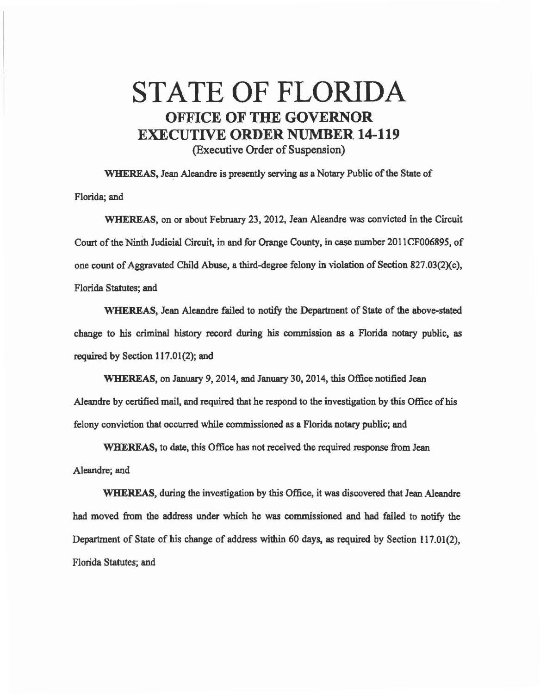## STATE OF FLORIDA OFFICE **OF THE GOVERNOR**  EXECUTIVE **ORDER** NUMBER. **14-119**  (Executive Order of Suspension)

WHEREAS, Jean Aleandre is presently serving as a Notary Public of the State of Florida; and

WHEREAS, on or about February 23, 2012, Jean Aleandre was convicted in the Circuit Court of the Ninth Judicial Circuit, in and for Orange County, in case number 2011CF006895, of one count of Aggravated Child Abuse, a third-degree felony in violation of Section 827.03(2)(c), Florida Statutes; and

WHEREAS, Jean Aleandre failed to notify the Department of State of the above-stated change to his criminal history record during his commission as a Florida notary public, as required by Section 117.01(2); and

WHEREAS, on January 9, 2014, and January 30, 2014, this Office notified Jean Aleandre by certified mail, and required that he respond to the investigation by this Office of his felony conviction that occurred while commissioned as a Florida notary public; and

WHEREAS, to date, this Office has not received the required response from Jean Aleandre; and

WHEREAS, during the investigation by this Office, it was discovered that Jean Aleandre had moved from the address under which he was commissioned and had failed to notify the Department of State of his change of address within 60 days, as required by Section 117.01(2), Florida Statutes; and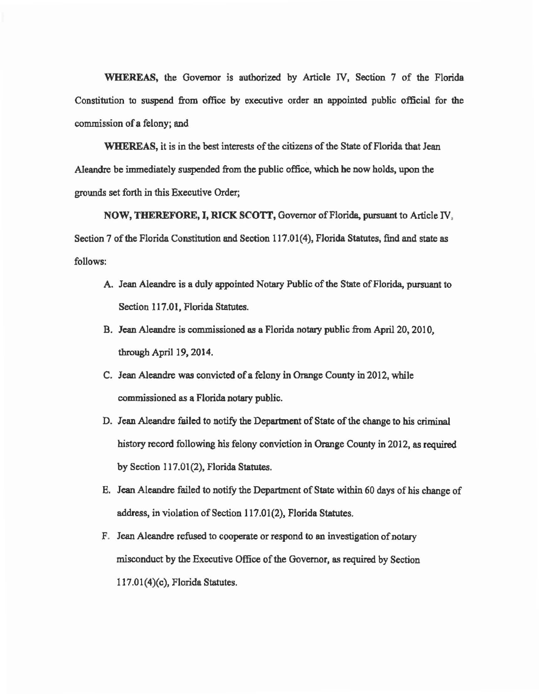WHEREAS, the Governor is authorized by Article IV, Section 7 of the Florida Constitution to suspend from office by executive order an appointed public official. for the commission of a felony; and

WHEREAS, it is in the best interests of the citizens of the State of Florida that Jean Aleandre be immediately suspended from the public office, which be now holds, upon the grounds set forth in this Executive Order;

NOW, THEREFORE, I, RICK SCOTT, Governor of Florida, pursuant to Article IV, Section 7 of the Florida Constitution and Section 117.01(4), Florida Statutes, find and state as follows:

- A. Jean Aleandre is a duly appointed Notary Public of the State of Florida, pursuant to Section 117.01, Florida Statutes.
- B. Jean AJeandre is commissioned as a Florida notary public from April 20, 2010, through April 19, 2014.
- C. Jean Aleandre was convicted of a felony in Orange County in 2012, while commissioned as a Florida notary public.
- D. Jean AJeandre failed to notify the Department of State of the change to his criminal history record following his felony conviction in Orange County in 2012, as required by Section 117.01(2), Florida Statutes.
- E. Jean Aleandre failed to notify the Department of State within 60 days of his change of address, in violation of Section 117.01(2), Florida Statutes.
- F. Jean Aleandre refused to cooperate or respond to an investigation of notary misconduct by the Executive Office of the Governor. as required by Section  $117.01(4)(c)$ , Florida Statutes.